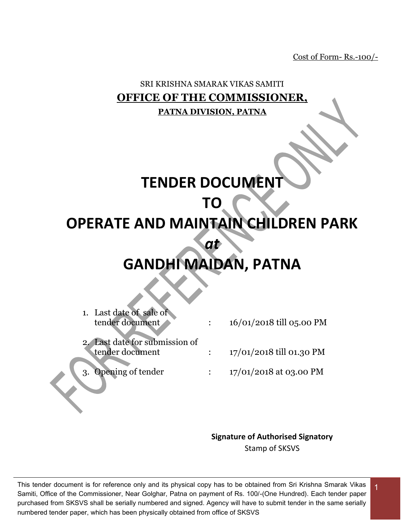Cost of Form- Rs.-100/-

# SRI KRISHNA SMARAK VIKAS SAMITI **OFFICE OF THE COMMISSIONER, PATNA DIVISION, PATNA**

# **TENDER DOCUMENT**

# **TO**

# **OPERATE AND MAINTAIN CHILDREN PARK**

# **GANDHI MAIDAN, PATNA**

*at* 

1. Last date of sale of  $\frac{16}{01/2018}$  till 05.00 PM

2. Last date for submission of

- $t = 17/01/2018$  till 01.30 PM
- Opening of tender : 17/01/2018 at 03.00 PM

# **Signature of Authorised Signatory**

Stamp of SKSVS

1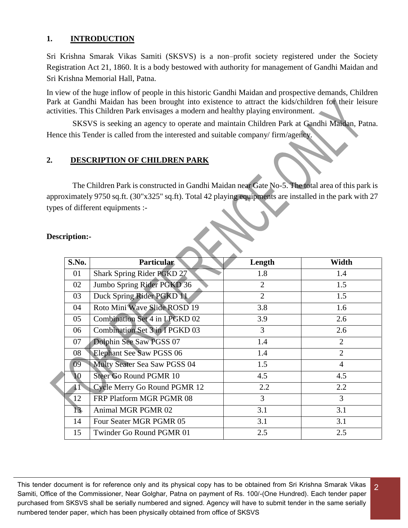### **1. INTRODUCTION**

Sri Krishna Smarak Vikas Samiti (SKSVS) is a non–profit society registered under the Society Registration Act 21, 1860. It is a body bestowed with authority for management of Gandhi Maidan and Sri Krishna Memorial Hall, Patna.

In view of the huge inflow of people in this historic Gandhi Maidan and prospective demands, Children Park at Gandhi Maidan has been brought into existence to attract the kids/children for their leisure activities. This Children Park envisages a modern and healthy playing environment.

SKSVS is seeking an agency to operate and maintain Children Park at Gandhi Maidan, Patna. Hence this Tender is called from the interested and suitable company/ firm/agency.

### **2. DESCRIPTION OF CHILDREN PARK**

The Children Park is constructed in Gandhi Maidan near Gate No-5. The total area of this park is approximately 9750 sq.ft. (30"x325" sq.ft). Total 42 playing equipments are installed in the park with 27 types of different equipments :-

| S.No. | <b>Particular</b>                    | Length         | Width          |  |
|-------|--------------------------------------|----------------|----------------|--|
| 01    | Shark Spring Rider PGKD 27           | 1.8            | 1.4            |  |
| 02    | Jumbo Spring Rider PGKD 36           | $\overline{2}$ | 1.5            |  |
| 03    | Duck Spring Rider PGKD 11            | $\overline{2}$ | 1.5            |  |
| 04    | Roto Mini Wave Slide ROSD 19         | 3.8            | 1.6            |  |
| 05    | <b>Combination Set 4 in LPGKD 02</b> | 3.9            | 2.6            |  |
| 06    | Combination Set 3 in I PGKD 03       | 3              | 2.6            |  |
| 07    | Dolphin See Saw PGSS 07              | 1.4            | $\overline{2}$ |  |
| 08    | <b>Elephant See Saw PGSS 06</b>      | 1.4            | $\overline{2}$ |  |
| 09    | Multy Seater Sea Saw PGSS 04         | 1.5            | $\overline{4}$ |  |
| 10    | Steer Go Round PGMR 10               | 4.5            | 4.5            |  |
| 11    | Cycle Merry Go Round PGMR 12         | 2.2            | 2.2            |  |
| 12    | FRP Platform MGR PGMR 08             | 3              | 3              |  |
| 13    | Animal MGR PGMR 02                   | 3.1            | 3.1            |  |
| 14    | Four Seater MGR PGMR 05              | 3.1            | 3.1            |  |
| 15    | Twinder Go Round PGMR 01             | 2.5            | 2.5            |  |

2

#### **Description:-**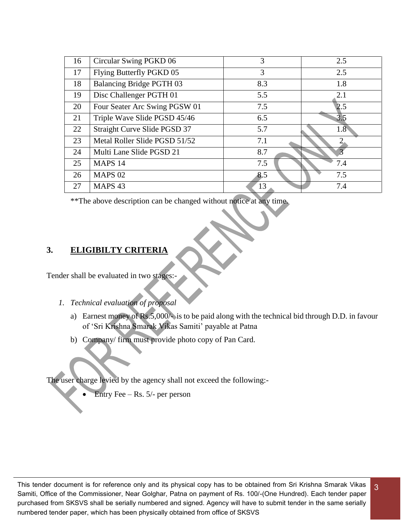| 16 | Circular Swing PGKD 06          | 3   | 2.5              |
|----|---------------------------------|-----|------------------|
| 17 | Flying Butterfly PGKD 05        | 3   | 2.5              |
| 18 | <b>Balancing Bridge PGTH 03</b> | 8.3 | 1.8              |
| 19 | Disc Challenger PGTH 01         | 5.5 | 2.1              |
| 20 | Four Seater Arc Swing PGSW 01   | 7.5 | 2.5              |
| 21 | Triple Wave Slide PGSD 45/46    | 6.5 | 3.5              |
| 22 | Straight Curve Slide PGSD 37    | 5.7 | 1.8 <sup>5</sup> |
| 23 | Metal Roller Slide PGSD 51/52   | 7.1 | ∍                |
| 24 | Multi Lane Slide PGSD 21        | 8.7 |                  |
| 25 | MAPS 14                         | 7.5 | 7.4              |
| 26 | <b>MAPS 02</b>                  | 8.5 | 7.5              |
| 27 | MAPS <sub>43</sub>              | 13  | 7.4              |

\*\*The above description can be changed without notice at any time.

### **3. ELIGIBILTY CRITERIA**

Tender shall be evaluated in two stages:-

- *1. Technical evaluation of proposal* 
	- a) Earnest money of Rs.5,000/- is to be paid along with the technical bid through D.D. in favour of 'Sri Krishna Smarak Vikas Samiti' payable at Patna

3

b) Company/ firm must provide photo copy of Pan Card.

The user charge levied by the agency shall not exceed the following:-

Entry Fee – Rs. 5/- per person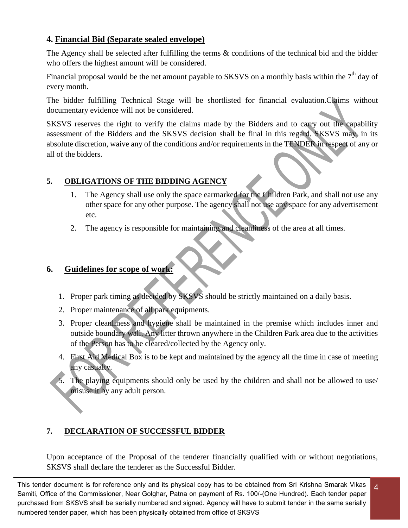# **4. Financial Bid (Separate sealed envelope)**

The Agency shall be selected after fulfilling the terms & conditions of the technical bid and the bidder who offers the highest amount will be considered.

Financial proposal would be the net amount payable to SKSVS on a monthly basis within the 7<sup>th</sup> day of every month.

The bidder fulfilling Technical Stage will be shortlisted for financial evaluation.Claims without documentary evidence will not be considered.

SKSVS reserves the right to verify the claims made by the Bidders and to carry out the capability assessment of the Bidders and the SKSVS decision shall be final in this regard. SKSVS may, in its absolute discretion, waive any of the conditions and/or requirements in the TENDER in respect of any or all of the bidders.

# **5. OBLIGATIONS OF THE BIDDING AGENCY**

- 1. The Agency shall use only the space earmarked for the Children Park, and shall not use any other space for any other purpose. The agency shall not use any space for any advertisement etc.
- 2. The agency is responsible for maintaining and cleanliness of the area at all times.

# **6. Guidelines for scope of work:**

- 1. Proper park timing as decided by SKSVS should be strictly maintained on a daily basis.
- 2. Proper maintenance of all park equipments.
- 3. Proper cleanliness and hygiene shall be maintained in the premise which includes inner and outside boundary wall. Any litter thrown anywhere in the Children Park area due to the activities of the Person has to be cleared/collected by the Agency only.
- 4. First Aid Medical Box is to be kept and maintained by the agency all the time in case of meeting any casualty.
- 5. The playing equipments should only be used by the children and shall not be allowed to use/ misuse it by any adult person.

# **7. DECLARATION OF SUCCESSFUL BIDDER**

Upon acceptance of the Proposal of the tenderer financially qualified with or without negotiations, SKSVS shall declare the tenderer as the Successful Bidder.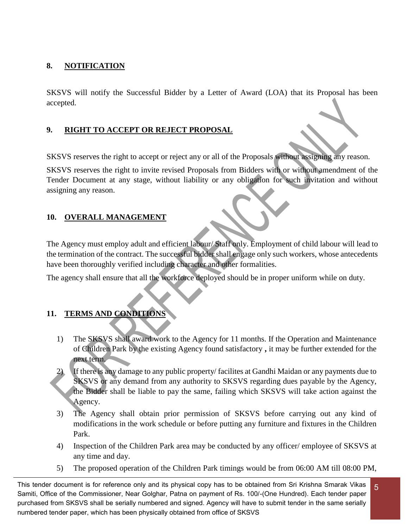# **8. NOTIFICATION**

SKSVS will notify the Successful Bidder by a Letter of Award (LOA) that its Proposal has been accepted.

# **9. RIGHT TO ACCEPT OR REJECT PROPOSAL**

SKSVS reserves the right to accept or reject any or all of the Proposals without assigning any reason.

SKSVS reserves the right to invite revised Proposals from Bidders with or without amendment of the Tender Document at any stage, without liability or any obligation for such invitation and without assigning any reason.

# **10. OVERALL MANAGEMENT**

The Agency must employ adult and efficient labour/ Staff only. Employment of child labour will lead to the termination of the contract. The successful bidder shall engage only such workers, whose antecedents have been thoroughly verified including character and other formalities.

The agency shall ensure that all the workforce deployed should be in proper uniform while on duty.

# **11. TERMS AND CONDITIONS**

- 1) The SKSVS shall award work to the Agency for 11 months. If the Operation and Maintenance of Children Park by the existing Agency found satisfactory **,** it may be further extended for the next term.
- 2) If there is any damage to any public property/ facilites at Gandhi Maidan or any payments due to SKSVS or any demand from any authority to SKSVS regarding dues payable by the Agency, the Bidder shall be liable to pay the same, failing which SKSVS will take action against the Agency.
- 3) The Agency shall obtain prior permission of SKSVS before carrying out any kind of modifications in the work schedule or before putting any furniture and fixtures in the Children Park.
- 4) Inspection of the Children Park area may be conducted by any officer/ employee of SKSVS at any time and day.
- 5) The proposed operation of the Children Park timings would be from 06:00 AM till 08:00 PM,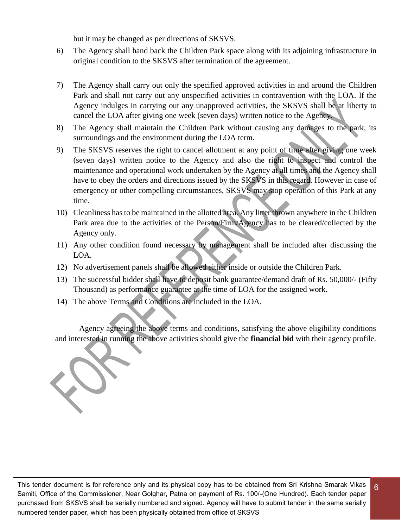but it may be changed as per directions of SKSVS.

- 6) The Agency shall hand back the Children Park space along with its adjoining infrastructure in original condition to the SKSVS after termination of the agreement.
- 7) The Agency shall carry out only the specified approved activities in and around the Children Park and shall not carry out any unspecified activities in contravention with the LOA. If the Agency indulges in carrying out any unapproved activities, the SKSVS shall be at liberty to cancel the LOA after giving one week (seven days) written notice to the Agency.
- 8) The Agency shall maintain the Children Park without causing any damages to the park, its surroundings and the environment during the LOA term.
- 9) The SKSVS reserves the right to cancel allotment at any point of time after giving one week (seven days) written notice to the Agency and also the right to inspect and control the maintenance and operational work undertaken by the Agency at all times and the Agency shall have to obey the orders and directions issued by the SKSVS in this regard. However in case of emergency or other compelling circumstances, SKSVS may stop operation of this Park at any time.
- 10) Cleanliness has to be maintained in the allotted area. Any litter thrown anywhere in the Children Park area due to the activities of the Person/Firm/Agency has to be cleared/collected by the Agency only.
- 11) Any other condition found necessary by management shall be included after discussing the LOA.
- 12) No advertisement panels shall be allowed either inside or outside the Children Park.
- 13) The successful bidder shall have to deposit bank guarantee/demand draft of Rs. 50,000/- (Fifty Thousand) as performance guarantee at the time of LOA for the assigned work.
- 14) The above Terms and Conditions are included in the LOA.

Agency agreeing the above terms and conditions, satisfying the above eligibility conditions and interested in running the above activities should give the **financial bid** with their agency profile.

This tender document is for reference only and its physical copy has to be obtained from Sri Krishna Smarak Vikas Samiti, Office of the Commissioner, Near Golghar, Patna on payment of Rs. 100/-(One Hundred). Each tender paper purchased from SKSVS shall be serially numbered and signed. Agency will have to submit tender in the same serially numbered tender paper, which has been physically obtained from office of SKSVS

6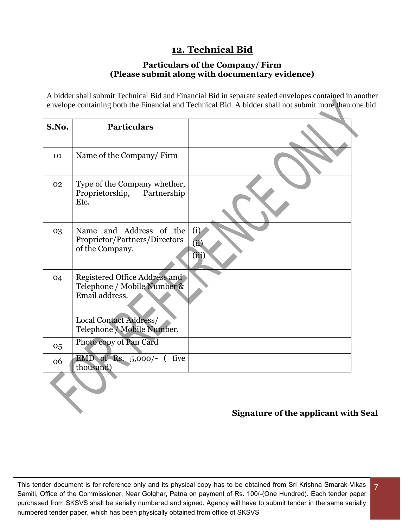# **12. Technical Bid**

### **Particulars of the Company/ Firm (Please submit along with documentary evidence)**

A bidder shall submit Technical Bid and Financial Bid in separate sealed envelopes contained in another envelope containing both the Financial and Technical Bid. A bidder shall not submit more than one bid.

| S.No. | <b>Particulars</b>                                                                                                                     |                      |
|-------|----------------------------------------------------------------------------------------------------------------------------------------|----------------------|
| 01    | Name of the Company/Firm                                                                                                               |                      |
| 02    | Type of the Company whether,<br>Proprietorship,<br>Partnership<br>Etc.                                                                 |                      |
| 03    | Name and Address of the<br>Proprietor/Partners/Directors<br>of the Company.                                                            | (i)<br>(ii)<br>(iii) |
| 04    | Registered Office Address and<br>Telephone / Mobile Number &<br>Email address.<br>Local Contact Address/<br>Telephone / Mobile Number. |                      |
| 05    | Photo copy of Pan Card                                                                                                                 |                      |
| 06    | EMD of Rs. $5,000/$ - (five<br>thousand)                                                                                               |                      |
|       |                                                                                                                                        |                      |

# **Signature of the applicant with Seal**

7